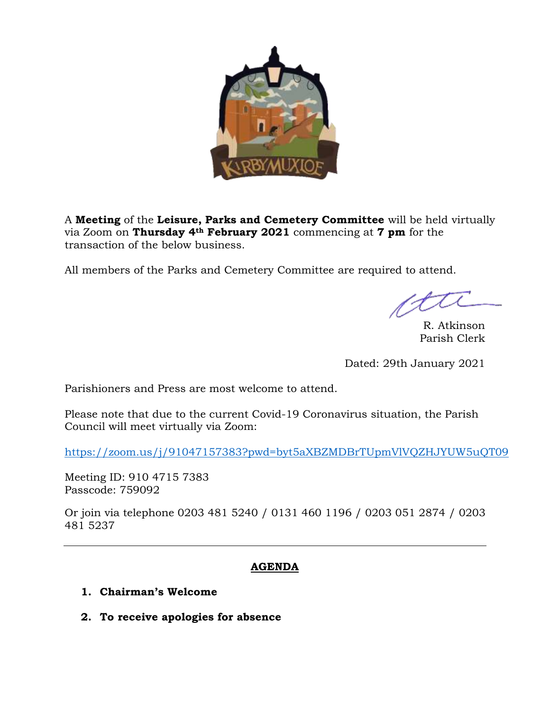

A **Meeting** of the **Leisure, Parks and Cemetery Committee** will be held virtually via Zoom on **Thursday 4th February 2021** commencing at **7 pm** for the transaction of the below business.

All members of the Parks and Cemetery Committee are required to attend.

R. Atkinson Parish Clerk

Dated: 29th January 2021

Parishioners and Press are most welcome to attend.

Please note that due to the current Covid-19 Coronavirus situation, the Parish Council will meet virtually via Zoom:

<https://zoom.us/j/91047157383?pwd=byt5aXBZMDBrTUpmVlVQZHJYUW5uQT09>

Meeting ID: 910 4715 7383 Passcode: 759092

Or join via telephone 0203 481 5240 / 0131 460 1196 / 0203 051 2874 / 0203 481 5237

# **AGENDA**

- **1. Chairman's Welcome**
- **2. To receive apologies for absence**